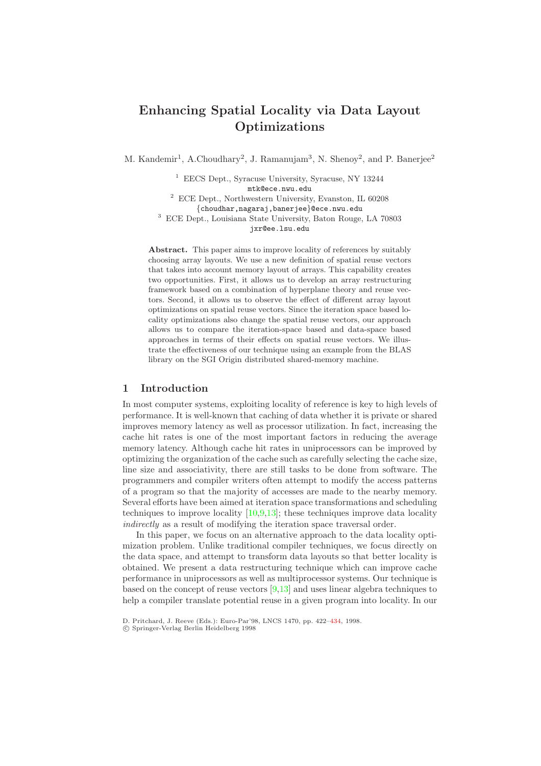# <span id="page-0-0"></span>**Enhancing Spatial Locality via Data Layout Optimizations**

M. Kandemir<sup>1</sup>, A.Choudhary<sup>2</sup>, J. Ramanujam<sup>3</sup>, N. Shenoy<sup>2</sup>, and P. Banerjee<sup>2</sup>

<sup>1</sup> EECS Dept., Syracuse University, Syracuse, NY 13244 mtk@ece.nwu.edu <sup>2</sup> ECE Dept., Northwestern University, Evanston, IL 60208 {choudhar,nagaraj,banerjee}@ece.nwu.edu

<sup>3</sup> ECE Dept., Louisiana State University, Baton Rouge, LA 70803 jxr@ee.lsu.edu

**Abstract.** This paper aims to improve locality of references by suitably choosing array layouts. We use a new definition of spatial reuse vectors that takes into account memory layout of arrays. This capability creates two opportunities. First, it allows us to develop an array restructuring framework based on a combination of hyperplane theory and reuse vectors. Second, it allows us to observe the effect of different array layout optimizations on spatial reuse vectors. Since the iteration space based locality optimizations also change the spatial reuse vectors, our approach allows us to compare the iteration-space based and data-space based approaches in terms of their effects on spatial reuse vectors. We illustrate the effectiveness of our technique using an example from the BLAS library on the SGI Origin distributed shared-memory machine.

# **1 Introduction**

In most computer systems, exploiting locality of reference is key to high levels of performance. It is well-known that caching of data whether it is private or shared improves memory latency as well as processor utilization. In fact, increasing the cache hit rates is one of the most important factors in reducing the average memory latency. Although cache hit rates in uniprocessors can be improved by optimizing the organization of the cache such as carefully selecting the cache size, line size and associativity, there are still tasks to be done from software. The programmers and compiler writers often attempt to modify the access patterns of a program so that the majority of accesses are made to the nearby memory. Several efforts have been aimed at iteration space transformations and scheduling techniques to improve locality [\[10,](#page-12-0)[9](#page-12-1)[,13\]](#page-12-2); these techniques improve data locality *indirectly* as a result of modifying the iteration space traversal order.

In this paper, we focus on an alternative approach to the data locality optimization problem. Unlike traditional compiler techniques, we focus directly on the data space, and attempt to transform data layouts so that better locality is obtained. We present a data restructuring technique which can improve cache performance in uniprocessors as well as multiprocessor systems. Our technique is based on the concept of reuse vectors [\[9,](#page-12-1)[13\]](#page-12-2) and uses linear algebra techniques to help a compiler translate potential reuse in a given program into locality. In our

D. Pritchard, J. Reeve (Eds.): Euro-Par'98, LNCS 1470, pp. 422[–434,](#page-12-3) 1998.

c Springer-Verlag Berlin Heidelberg 1998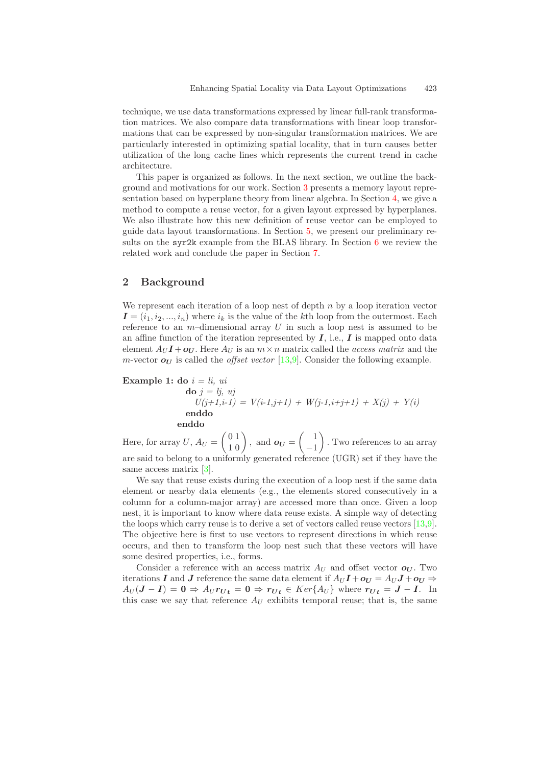<span id="page-1-1"></span><span id="page-1-0"></span>technique, we use data transformations expressed by linear full-rank transformation matrices. We also compare data transformations with linear loop transformations that can be expressed by non-singular transformation matrices. We are particularly interested in optimizing spatial locality, that in turn causes better utilization of the long cache lines which represents the current trend in cache architecture.

This paper is organized as follows. In the next section, we outline the background and motivations for our work. Section [3](#page-3-0) presents a memory layout representation based on hyperplane theory from linear algebra. In Section  $4$ , we give a method to compute a reuse vector, for a given layout expressed by hyperplanes. We also illustrate how this new definition of reuse vector can be employed to guide data layout transformations. In Section [5,](#page-9-0) we present our preliminary results on the syr2k example from the BLAS library. In Section [6](#page-10-0) we review the related work and conclude the paper in Section [7.](#page-11-0)

#### **2 Background**

We represent each iteration of a loop nest of depth *n* by a loop iteration vector  $I = (i_1, i_2, \ldots, i_n)$  where  $i_k$  is the value of the *k*th loop from the outermost. Each reference to an *m*–dimensional array *U* in such a loop nest is assumed to be an affine function of the iteration represented by *I*, i.e., *I* is mapped onto data element  $A_U I + o_U$ . Here  $A_U$  is an  $m \times n$  matrix called the *access matrix* and the *m*-vector  $o_U$  is called the *offset vector* [\[13,](#page-12-4)[9\]](#page-12-5). Consider the following example.

Example 1: do 
$$
i = li
$$
,  $ui$   
\ndo  $j = lj$ ,  $uj$   
\n $U(j+1,i-1) = V(i-1,j+1) + W(j-1,i+j+1) + X(j) + Y(i)$   
\nenddo  
\nenddo

Here, for array  $U$ ,  $A_U = \begin{pmatrix} 0 & 1 \\ 1 & 0 \end{pmatrix}$ , and  $\boldsymbol{o}_U = \begin{pmatrix} 1 \\ -1 \end{pmatrix}$ −1 - *.* Two references to an array are said to belong to a uniformly generated reference (UGR) set if they have the same access matrix [\[3\]](#page-11-1).

We say that reuse exists during the execution of a loop nest if the same data element or nearby data elements (e.g., the elements stored consecutively in a column for a column-major array) are accessed more than once. Given a loop nest, it is important to know where data reuse exists. A simple way of detecting the loops which carry reuse is to derive a set of vectors called reuse vectors [\[13](#page-12-4)[,9\]](#page-12-5). The objective here is first to use vectors to represent directions in which reuse occurs, and then to transform the loop nest such that these vectors will have some desired properties, i.e., forms.

Consider a reference with an access matrix  $A_U$  and offset vector  $o_U$ . Two iterations *I* and *J* reference the same data element if  $A_U I + o_U = A_U J + o_U \Rightarrow$  $A_U(J - I) = 0 \Rightarrow A_U r_{Ut} = 0 \Rightarrow r_{Ut} \in Ker\{A_U\}$  where  $r_{Ut} = J - I$ . In this case we say that reference  $A_U$  exhibits temporal reuse; that is, the same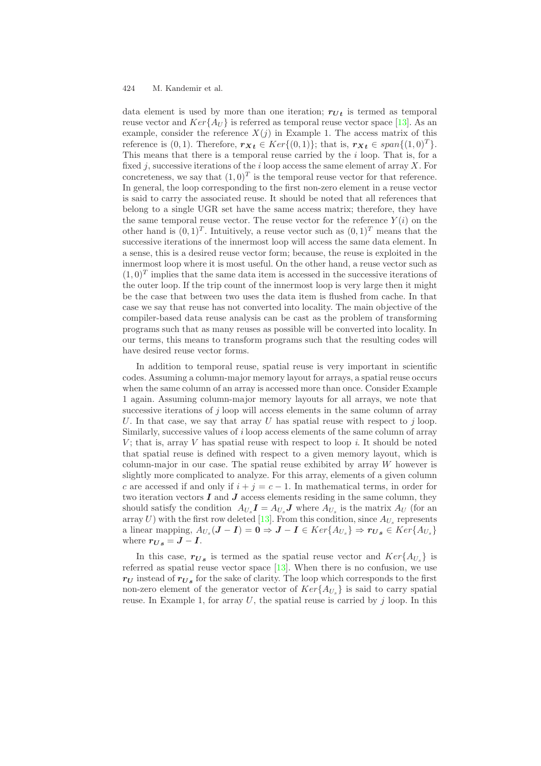<span id="page-2-0"></span>data element is used by more than one iteration;  $r_{Ut}$  is termed as temporal reuse vector and  $Ker{A_U}$  is referred as temporal reuse vector space [\[13\]](#page-12-2). As an example, consider the reference  $X(j)$  in Example 1. The access matrix of this reference is  $(0, 1)$ . Therefore,  $r_{Xt} \in Ker\{(0, 1)\}$ ; that is,  $r_{Xt} \in span\{(1, 0)^T\}$ . This means that there is a temporal reuse carried by the *i* loop. That is, for a fixed *j*, successive iterations of the *i* loop access the same element of array *X*. For concreteness, we say that  $(1,0)^T$  is the temporal reuse vector for that reference. In general, the loop corresponding to the first non-zero element in a reuse vector is said to carry the associated reuse. It should be noted that all references that belong to a single UGR set have the same access matrix; therefore, they have the same temporal reuse vector. The reuse vector for the reference  $Y(i)$  on the other hand is  $(0,1)^T$ . Intuitively, a reuse vector such as  $(0,1)^T$  means that the successive iterations of the innermost loop will access the same data element. In a sense, this is a desired reuse vector form; because, the reuse is exploited in the innermost loop where it is most useful. On the other hand, a reuse vector such as  $(1,0)^T$  implies that the same data item is accessed in the successive iterations of the outer loop. If the trip count of the innermost loop is very large then it might be the case that between two uses the data item is flushed from cache. In that case we say that reuse has not converted into locality. The main objective of the compiler-based data reuse analysis can be cast as the problem of transforming programs such that as many reuses as possible will be converted into locality. In our terms, this means to transform programs such that the resulting codes will have desired reuse vector forms.

In addition to temporal reuse, spatial reuse is very important in scientific codes. Assuminga column-major memory layout for arrays, a spatial reuse occurs when the same column of an array is accessed more than once. Consider Example 1 again. Assuming column-major memory layouts for all arrays, we note that successive iterations of *j* loop will access elements in the same column of array *U*. In that case, we say that array *U* has spatial reuse with respect to *<sup>j</sup>* loop. Similarly, successive values of *i* loop access elements of the same column of array *V*; that is, array *V* has spatial reuse with respect to loop  $i$ . It should be noted that spatial reuse is defined with respect to a given memory layout, which is column-major in our case. The spatial reuse exhibited by array *W* however is slightly more complicated to analyze. For this array, elements of a given column *c* are accessed if and only if  $i + j = c - 1$ . In mathematical terms, in order for two iteration vectors  $\boldsymbol{I}$  and  $\boldsymbol{J}$  access elements residing in the same column, they should satisfy the condition  $A_{U_s}I = A_{U_s}J$  where  $A_{U_s}$  is the matrix  $A_U$  (for an array *U*) with the first row deleted [\[13\]](#page-12-2). From this condition, since  $A_{U_s}$  represents a linear mapping,  $A_{U_s}(\mathbf{J} - \mathbf{I}) = \mathbf{0} \Rightarrow \mathbf{J} - \mathbf{I} \in \text{Ker}\{A_{U_s}\} \Rightarrow r_{U_s} \in \text{Ker}\{A_{U_s}\}$ where  $r_{U,s} = J - I$ .

In this case,  $r_{Us}$  is termed as the spatial reuse vector and  $Ker\{A_{U_s}\}\$ is referred as spatial reuse vector space [\[13\]](#page-12-2). When there is no confusion, we use  $r_U$  instead of  $r_{U_s}$  for the sake of clarity. The loop which corresponds to the first non-zero element of the generator vector of  $Ker{A_{U_s}}$  is said to carry spatial reuse. In Example 1, for array *U*, the spatial reuse is carried by *j* loop. In this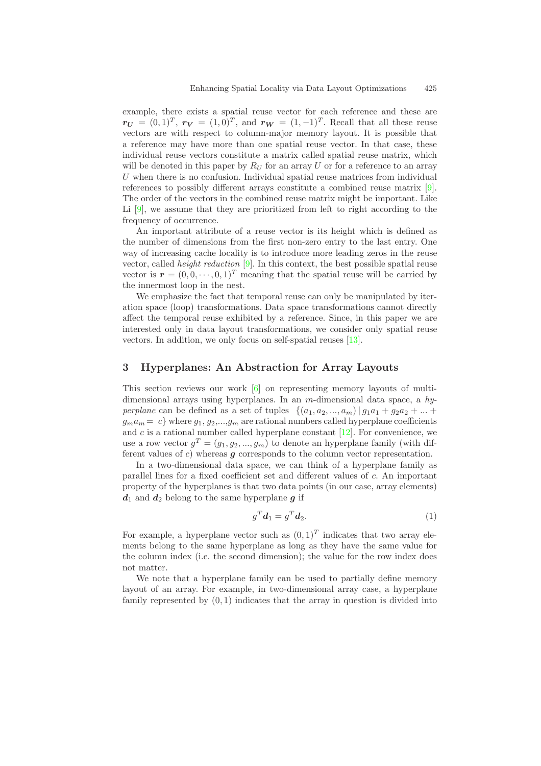<span id="page-3-3"></span><span id="page-3-2"></span>example, there exists a spatial reuse vector for each reference and these are  $r_U = (0,1)^T$ ,  $r_V = (1,0)^T$ , and  $r_W = (1,-1)^T$ . Recall that all these reuse vectors are with respect to column-major memory layout. It is possible that a reference may have more than one spatial reuse vector. In that case, these individual reuse vectors constitute a matrix called spatial reuse matrix, which will be denoted in this paper by  $R_U$  for an array U or for a reference to an array *U* when there is no confusion. Individual spatial reuse matrices from individual references to possibly different arrays constitute a combined reuse matrix [\[9\]](#page-12-5). The order of the vectors in the combined reuse matrix might be important. Like Li [\[9\]](#page-12-5), we assume that they are prioritized from left to right according to the frequency of occurrence.

An important attribute of a reuse vector is its height which is defined as the number of dimensions from the first non-zero entry to the last entry. One way of increasing cache locality is to introduce more leading zeros in the reuse vector, called *height reduction* [\[9\]](#page-12-5). In this context, the best possible spatial reuse vector is  $\mathbf{r} = (0, 0, \dots, 0, 1)^T$  meaning that the spatial reuse will be carried by the innermost loop in the nest.

We emphasize the fact that temporal reuse can only be manipulated by iteration space (loop) transformations. Data space transformations cannot directly affect the temporal reuse exhibited by a reference. Since, in this paper we are interested only in data layout transformations, we consider only spatial reuse vectors. In addition, we only focus on self-spatial reuses [\[13\]](#page-12-4).

#### <span id="page-3-0"></span>**3 Hyperplanes:An Abstraction for Array Layouts**

This section reviews our work  $[6]$  on representing memory layouts of multidimensional arrays using hyperplanes. In an *m*-dimensional data space, a *hyperplane* can be defined as a set of tuples  $\{(a_1, a_2, ..., a_m) | g_1 a_1 + g_2 a_2 + ... +$  $g_m a_m = c$  where  $g_1, g_2,...,g_m$  are rational numbers called hyperplane coefficients and  $c$  is a rational number called hyperplane constant  $[12]$ . For convenience, we use a row vector  $g^T = (g_1, g_2, ..., g_m)$  to denote an hyperplane family (with different values of *c*) whereas *<sup>g</sup>* corresponds to the column vector representation.

In a two-dimensional data space, we can think of a hyperplane family as parallel lines for a fixed coefficient set and different values of *c*. An important property of the hyperplanes is that two data points (in our case, array elements)  $d_1$  and  $d_2$  belong to the same hyperplane *g* if

$$
g^T \mathbf{d}_1 = g^T \mathbf{d}_2. \tag{1}
$$

<span id="page-3-1"></span>For example, a hyperplane vector such as  $(0,1)^T$  indicates that two array elements belong to the same hyperplane as long as they have the same value for the column index (i.e. the second dimension); the value for the row index does not matter.

We note that a hyperplane family can be used to partially define memory layout of an array. For example, in two-dimensional array case, a hyperplane family represented by  $(0,1)$  indicates that the array in question is divided into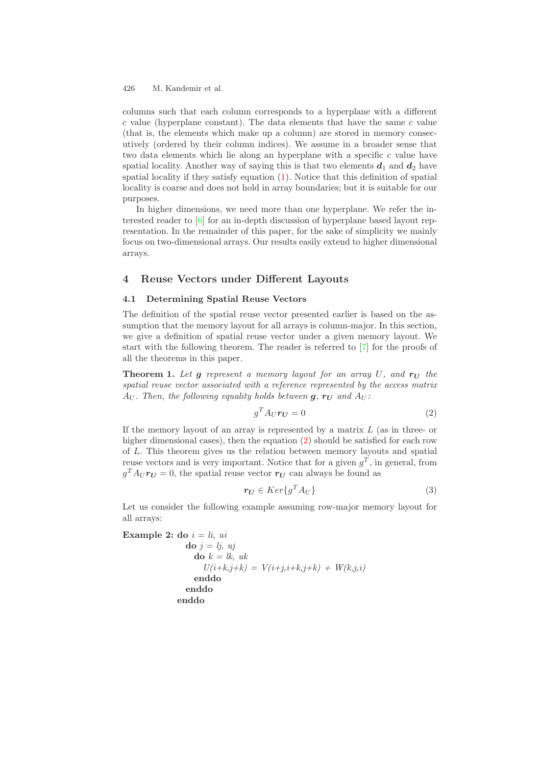<span id="page-4-4"></span>columns such that each column corresponds to a hyperplane with a different *c* value (hyperplane constant). The data elements that have the same *c* value (that is, the elements which make up a column) are stored in memory consecutively (ordered by their column indices). We assume in a broader sense that two data elements which lie along an hyperplane with a specific *c* value have spatial locality. Another way of saying this is that two elements  $d_1$  and  $d_2$  have spatial locality if they satisfy equation [\(1\)](#page-3-1). Notice that this definition of spatial locality is coarse and does not hold in array boundaries; but it is suitable for our purposes.

In higher dimensions, we need more than one hyperplane. We refer the interested reader to [\[6\]](#page-11-3) for an in-depth discussion of hyperplane based layout representation. In the remainder of this paper, for the sake of simplicity we mainly focus on two-dimensional arrays. Our results easily extend to higher dimensional arrays.

## <span id="page-4-0"></span>**4 Reuse Vectors under Different Layouts**

#### **4.1 Determining Spatial Reuse Vectors**

The definition of the spatial reuse vector presented earlier is based on the assumption that the memory layout for all arrays is column-major. In this section, we give a definition of spatial reuse vector under a given memory layout. We start with the following theorem. The reader is referred to  $[7]$  for the proofs of all the theorems in this paper.

**Theorem 1.** *Let <sup>g</sup> represent a memory layout for an array <sup>U</sup>, and <sup>r</sup><sup>U</sup> the spatial reuse vector associated with a reference represented by the access matrix A*<sup>U</sup> *aU aU n z*<sub>*U*</sub> *the following equality holds between g,*  $r_{U}$  *and*  $A_{U}$ *:* 

<span id="page-4-3"></span><span id="page-4-1"></span>
$$
g^T A_U \mathbf{r}_U = 0 \tag{2}
$$

If the memory layout of an array is represented by a matrix *L* (as in three- or higher dimensional cases), then the equation [\(2\)](#page-4-1) should be satisfied for each row of *L*. This theorem gives us the relation between memory layouts and spatial reuse vectors and is very important. Notice that for a given  $g<sup>T</sup>$ , in general, from  $g<sup>T</sup> A<sub>U</sub> r<sub>U</sub> = 0$ , the spatial reuse vector  $r<sub>U</sub>$  can always be found as

<span id="page-4-2"></span>
$$
r_U \in Ker\{g^T A_U\} \tag{3}
$$

Let us consider the following example assuming row-major memory layout for all arrays:

**Example 2: do** *i = li, ui* **do** *j = lj, uj*  $\mathbf{do}\ \mathbf{k} = \mathbf{lk},\ \mathbf{uk}$  $U(i+k,j+k) = V(i+j,i+k,j+k) + W(k,j,i)$ **enddo enddo enddo**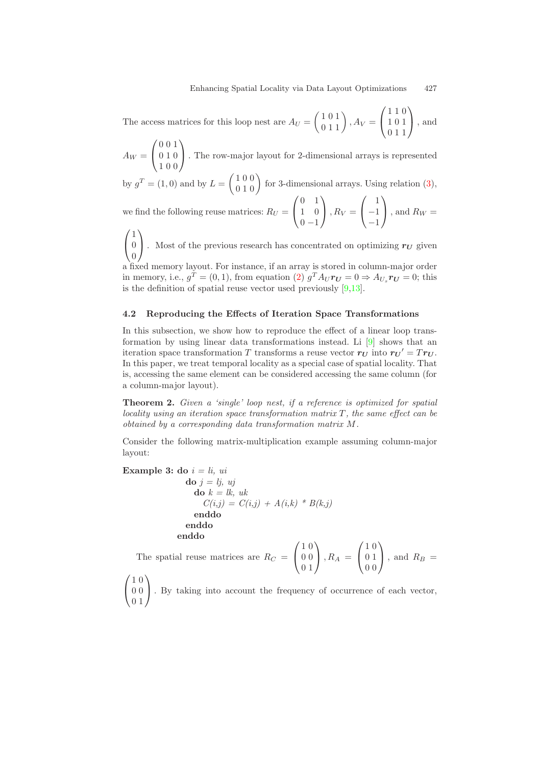<span id="page-5-0"></span>The access matrices for this loop nest are  $A_U = \begin{pmatrix} 1 & 0 & 1 \\ 0 & 1 & 1 \end{pmatrix}$ ,  $A_V =$  $\sqrt{ }$  $\overline{1}$ 110 101 011  $\setminus$ *,* and

 $A_W =$  $\sqrt{ }$  $\overline{1}$ 001 010 100  $\setminus$ *.* The row-major layout for 2-dimensional arrays is represented

by  $g^T = (1,0)$  and by  $L = \begin{pmatrix} 1 & 0 & 0 \\ 0 & 1 & 0 \end{pmatrix}$  for 3-dimensional arrays. Using relation [\(3\)](#page-4-2),

we find the following reuse matrices:  $R_U =$  $\sqrt{ }$  $\overline{1}$ 0 1 1 0  $0 - 1$  $\setminus$  $\Bigg), R_V =$  $\sqrt{ }$  $\overline{1}$ 1 −1 −1  $\setminus$  $\int$ , and  $R_W =$ 

 $\sqrt{ }$  $\mathcal{L}$ 1 0 0  $\setminus$ . Most of the previous research has concentrated on optimizing  $r_U$  given

a fixed memory layout. For instance, if an array is stored in column-major order in memory, i.e.,  $q^T = (0, 1)$ , from equation [\(2\)](#page-4-3)  $q^T A_U r_U = 0 \Rightarrow A_U r_U = 0$ ; this is the definition of spatial reuse vector used previously [\[9](#page-12-5)[,13\]](#page-12-4).

#### **4.2 Reproducing the Effects of Iteration Space Transformations**

In this subsection, we show how to reproduce the effect of a linear loop transformation by using linear data transformations instead. Li  $[9]$  shows that an iteration space transformation *T* transforms a reuse vector  $r_U$  into  $r_U' = Tr_U$ .<br>In this paper, we treat temporal locality as a special case of spatial locality. That In this paper, we treat temporal locality as a special case of spatial locality. That is, accessing the same element can be considered accessing the same column (for a column-major layout).

**Theorem 2.** *Given a 'single' loop nest, if a reference is optimized for spatial locality using an iteration space transformation matrix T*, the same effect can be *obtained by a corresponding data transformation matrix*  $M$ *.* 

Consider the following matrix-multiplication example assuming column-major layout:

**Example 3: do** *i = li, ui* **do** *j = lj, uj*  $\bf{do}$   $k = lk$ ,  $uk$  $C(i,j) = C(i,j) + A(i,k) * B(k,i)$ **enddo enddo enddo**

The spatial reuse matrices are  $R_C =$  $\sqrt{ }$  $\mathcal{L}$ 1 0 0 0 0 1  $\setminus$  $\int$ ,  $R_A =$  $\sqrt{ }$  $\mathcal{L}$ 1 0 0 1  $0<sub>0</sub>$  $\setminus$  $\Big\}$ , and  $R_B =$  $\sqrt{ }$  $\overline{1}$ 1 0  $0<sub>0</sub>$ 0 1  $\setminus$ **.** By taking into account the frequency of occurrence of each vector,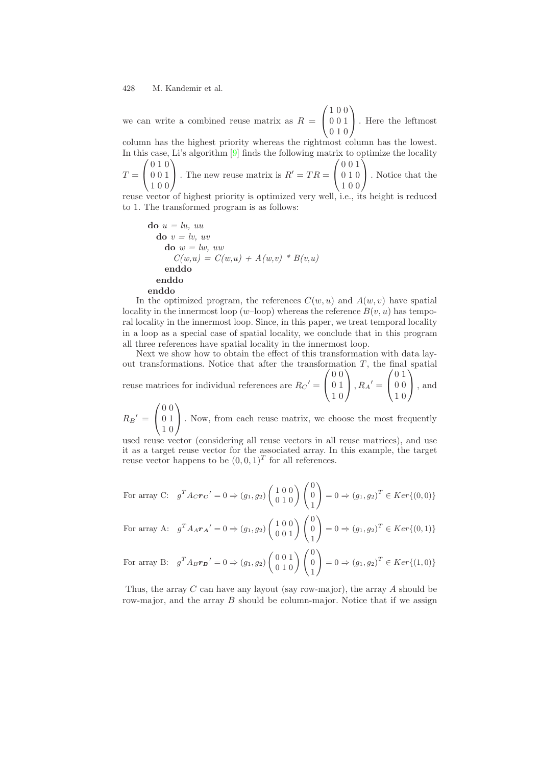<span id="page-6-0"></span>we can write a combined reuse matrix as  $R =$  $\sqrt{ }$  $\mathcal{L}$ 100 001 010  $\setminus$ *.* Here the leftmost

column has the highest priority whereas the rightmost column has the lowest. In this case, Li's algorithm  $[9]$  finds the following matrix to optimize the locality

*T* <sup>=</sup>  $\sqrt{ }$  $\mathcal{L}$ 010 001 100  $\setminus$  $\int$ . The new reuse matrix is  $R' = TR =$  $\sqrt{ }$  $\mathcal{L}$ 001 010 100  $\setminus$ *.* Notice that the

reuse vector of highest priority is optimized very well, i.e., its height is reduced to 1. The transformed program is as follows:

$$
d\mathbf{o} \ u = lu, \ uu
$$
  
\n
$$
d\mathbf{o} \ v =lv, \ uv
$$
  
\n
$$
d\mathbf{o} \ w = lw, \ uw
$$
  
\n
$$
C(w, u) = C(w, u) + A(w, v) * B(v, u)
$$
  
\nenddo  
\nenddo  
\nenddo  
\nenddo

In the optimized program, the references  $C(w, u)$  and  $A(w, v)$  have spatial locality in the innermost loop ( $w$ –loop) whereas the reference  $B(v, u)$  has temporal locality in the innermost loop. Since, in this paper, we treat temporal locality in a loop as a special case of spatial locality, we conclude that in this program all three references have spatial locality in the innermost loop.

Next we show how to obtain the effect of this transformation with data layout transformations. Notice that after the transformation  $T$ , the final spatial

reuse matrices for individual references are 
$$
R_C' = \begin{pmatrix} 0 & 0 \\ 0 & 1 \\ 1 & 0 \end{pmatrix}
$$
,  $R_A' = \begin{pmatrix} 0 & 1 \\ 0 & 0 \\ 1 & 0 \end{pmatrix}$ , and

 $R_B' =$  $\sqrt{ }$  $\mathcal{L}$  $0<sub>0</sub>$ 0 1 1 0  $\setminus$ *.* Now, from each reuse matrix, we choose the most frequently

used reuse vector (consideringall reuse vectors in all reuse matrices), and use it as a target reuse vector for the associated array. In this example, the target reuse vector happens to be  $(0,0,1)^T$  for all references.

For array C: 
$$
g^T A_{C} \mathbf{r}_{C}' = 0 \Rightarrow (g_1, g_2) \begin{pmatrix} 1 & 0 & 0 \\ 0 & 1 & 0 \end{pmatrix} \begin{pmatrix} 0 \\ 0 \\ 1 \end{pmatrix} = 0 \Rightarrow (g_1, g_2)^T \in \text{Ker}\{(0, 0)\}
$$

For array A: 
$$
g^T A_A r_A' = 0 \Rightarrow (g_1, g_2) \begin{pmatrix} 1 & 0 & 0 \\ 0 & 0 & 1 \end{pmatrix} \begin{pmatrix} 0 \\ 0 \\ 1 \end{pmatrix} = 0 \Rightarrow (g_1, g_2)^T \in Ker\{(0, 1)\}
$$

For array B:  $g^T A_B r_B' = 0 \Rightarrow (g_1, g_2) \begin{pmatrix} 0 & 0 & 1 \\ 0 & 1 & 0 \end{pmatrix} \begin{pmatrix} 0 \\ 0 \\ 1 \end{pmatrix}$  $\boldsymbol{0}$ 1  $\setminus$  $= 0 \Rightarrow (g_1, g_2)^T \in Ker\{(1, 0)\}\$ 

Thus, the array *C* can have any layout (say row-major), the array *A* should be row-major, and the array *B* should be column-major. Notice that if we assign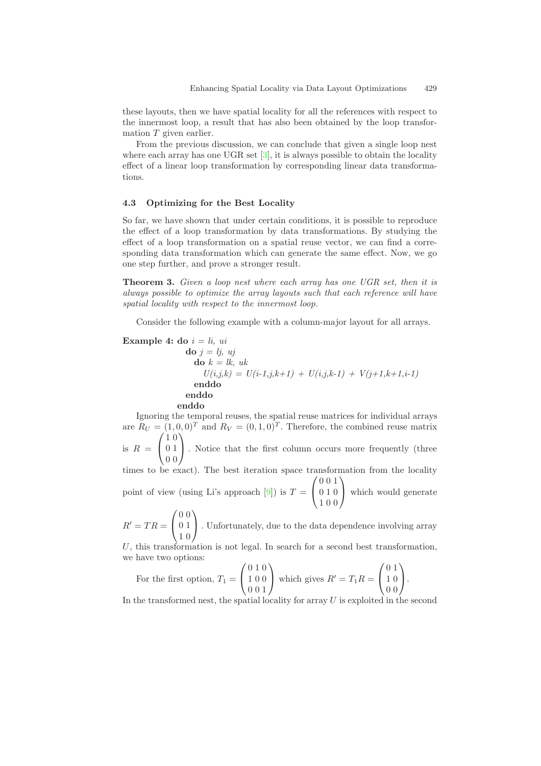<span id="page-7-1"></span><span id="page-7-0"></span>these layouts, then we have spatial locality for all the references with respect to the innermost loop, a result that has also been obtained by the loop transformation *T* given earlier.

From the previous discussion, we can conclude that given a single loop nest where each array has one UGR set [\[3\]](#page-11-1), it is always possible to obtain the locality effect of a linear loop transformation by corresponding linear data transformations.

## **4.3 Optimizing for the Best Locality**

So far, we have shown that under certain conditions, it is possible to reproduce the effect of a loop transformation by data transformations. By studying the effect of a loop transformation on a spatial reuse vector, we can find a corresponding data transformation which can generate the same effect. Now, we go one step further, and prove a stronger result.

**Theorem 3.** *Given a loop nest where each array has one UGR set, then it is always possible to optimize the array layouts such that each reference will have spatial locality with respect to the innermost loop.*

Consider the following example with a column-major layout for all arrays.

**Example 4: do** 
$$
i = li
$$
,  $ui$   
\n**do**  $j = lj$ ,  $uj$   
\n**do**  $k = lk$ ,  $uk$   
\n $U(i,j,k) = U(i-1,j,k+1) + U(i,j,k-1) + V(j+1,k+1,i-1)$   
\n**enddo**  
\n**enddo**  
\n**enddo**  
\n**enddo**

Ignoring the temporal reuses, the spatial reuse matrices for individual arrays are  $R_U = (1, 0, 0)^T$  and  $R_V = (0, 1, 0)^T$ . Therefore, the combined reuse matrix is  $R =$  $\sqrt{ }$  $\mathcal{L}$ 1 0 0 1  $\setminus$ *.* Notice that the first column occurs more frequently (three

0 0 times to be exact). The best iteration space transformation from the locality point of view (using Li's approach  $[9]$ ) is  $T =$  $\sqrt{ }$  $\mathcal{L}$ 001 010 100  $\setminus$ which would generate

 $R' = TR =$  $\sqrt{ }$  $\mathcal{L}$  $0<sub>0</sub>$ 0 1 1 0  $\setminus$ . Unfortunately, due to the data dependence involving array

*U*, this transformation is not legal. In search for a second best transformation, we have two options:

For the first option, 
$$
T_1 = \begin{pmatrix} 0 & 1 & 0 \\ 1 & 0 & 0 \\ 0 & 0 & 1 \end{pmatrix}
$$
 which gives  $R' = T_1 R = \begin{pmatrix} 0 & 1 \\ 1 & 0 \\ 0 & 0 \end{pmatrix}$ .

In the transformed nest, the spatial locality for array *U* is exploited in the second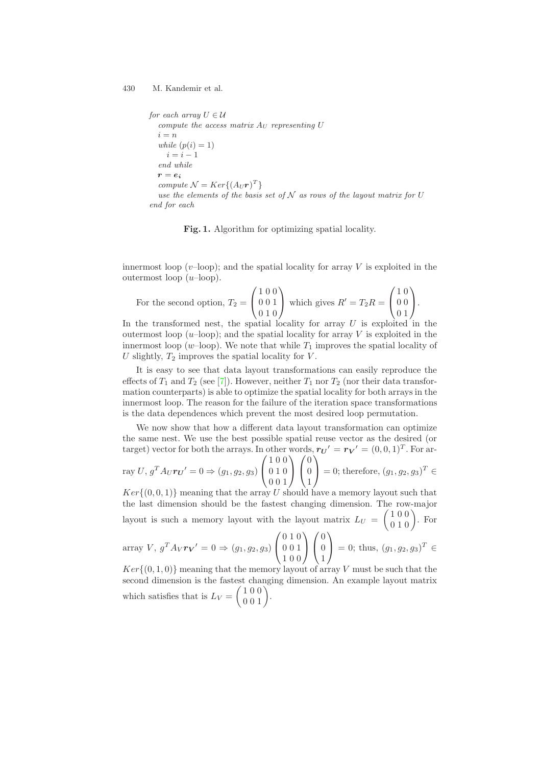```
for each array U \in \mathcal{U}compute the access matrix A_U representing Ui = nwhile (p(i) = 1)i = i - 1end while r = e_icompute \mathcal{N} = Ker\{(\mathbf{A}_U\mathbf{r})^T\}<br>we the elements of the basis
use the elements of the basis set of N as rows of the layout matrix for Uend for each
```
**Fig. 1.** Algorithm for optimizing spatial locality.

innermost loop  $(v\text{-loop})$ ; and the spatial locality for array *V* is exploited in the outermost loop (*u*–loop).

For the second option, 
$$
T_2 = \begin{pmatrix} 1 & 0 & 0 \\ 0 & 0 & 1 \\ 0 & 1 & 0 \end{pmatrix}
$$
 which gives  $R' = T_2 R = \begin{pmatrix} 1 & 0 \\ 0 & 0 \\ 0 & 1 \end{pmatrix}$ .

In the transformed nest, the spatial locality for array *U* is exploited in the outermost loop  $(u$ –loop); and the spatial locality for array *V* is exploited in the innermost loop ( $w$ –loop). We note that while  $T_1$  improves the spatial locality of U slightly,  $T_2$  improves the spatial locality for  $V$ .

It is easy to see that data layout transformations can easily reproduce the effects of  $T_1$  and  $T_2$  (see [\[7\]](#page-11-4)). However, neither  $T_1$  nor  $T_2$  (nor their data transformation counterparts) is able to optimize the spatial locality for both arrays in the innermost loop. The reason for the failure of the iteration space transformations is the data dependences which prevent the most desired loop permutation.

We now show that how a different data layout transformation can optimize the same nest. We use the best possible spatial reuse vector as the desired (or target) vector for both the arrays. In other words,  $r_U' = r_V' = (0, 0, 1)^T$ . For ar-<br>  $\begin{pmatrix} 1 & 0 & 0 \\ 0 & \sqrt{0} & 0 \\ 0 & 0 & 0 \end{pmatrix}$ 

ray 
$$
U
$$
,  $g^T A_U \mathbf{r}_U' = 0 \Rightarrow (g_1, g_2, g_3) \begin{pmatrix} 1 & 0 & 0 \\ 0 & 1 & 0 \\ 0 & 0 & 1 \end{pmatrix} \begin{pmatrix} 0 \\ 0 \\ 1 \end{pmatrix} = 0$ ; therefore,  $(g_1, g_2, g_3)^T \in$ 

 $Ker\{(0,0,1)\}\$  meaning that the array *U* should have a memory layout such that the last dimension should be the fastest changing dimension. The row-major layout is such a memory layout with the layout matrix  $L_U = \begin{pmatrix} 1 & 0 & 0 \\ 0 & 1 & 0 \end{pmatrix}$ . For array *V*,  $g^T A_V r_V' = 0 \Rightarrow (g_1, g_2, g_3)$  $\sqrt{ }$  $\mathcal{L}$ 010 001 100  $\setminus$  $\overline{1}$  $\sqrt{ }$  $\overline{1}$  $\theta$  $\overline{0}$ 1  $\setminus$  $= 0$ ; thus,  $(g_1, g_2, g_3)^T \in$ 

 $Ker\{(0,1,0)\}\$  meaning that the memory layout of array *V* must be such that the second dimension is the fastest changing dimension. An example layout matrix which satisfies that is  $L_V = \begin{pmatrix} 1 & 0 & 0 \\ 0 & 0 & 1 \end{pmatrix}$ .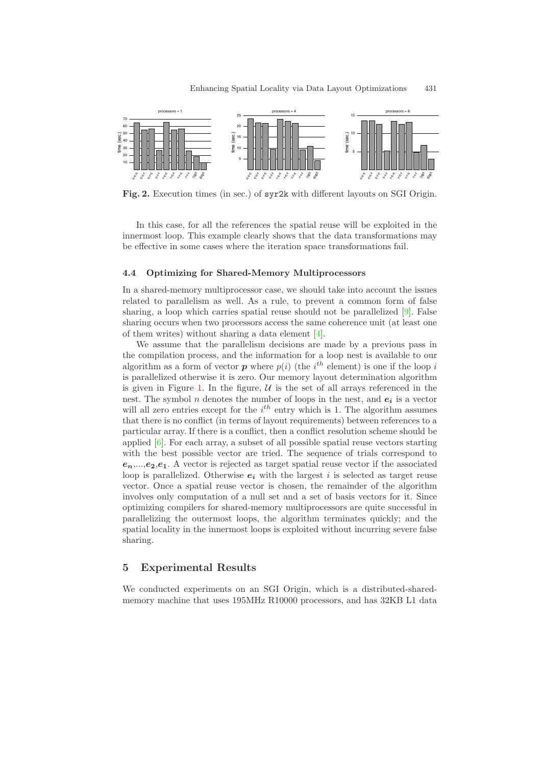<span id="page-9-3"></span><span id="page-9-2"></span><span id="page-9-1"></span>

**Fig. 2.** Execution times (in sec.) of syr2k with different layouts on SGI Origin.

In this case, for all the references the spatial reuse will be exploited in the innermost loop. This example clearly shows that the data transformations may be effective in some cases where the iteration space transformations fail.

#### **4.4 Optimizing for Shared-Memory Multiprocessors**

In a shared-memory multiprocessor case, we should take into account the issues related to parallelism as well. As a rule, to prevent a common form of false sharing, a loop which carries spatial reuse should not be parallelized [\[9\]](#page-12-5). False sharing occurs when two processors access the same coherence unit (at least one of them writes) without sharinga data element [\[4\]](#page-11-5).

We assume that the parallelism decisions are made by a previous pass in the compilation process, and the information for a loop nest is available to our algorithm as a form of vector  $p$  where  $p(i)$  (the  $i^{th}$  element) is one if the loop  $i$ <br>is parallelized otherwise it is zero. Our memory layout determination algorithm is parallelized otherwise it is zero. Our memory layout determination algorithm is given in Figure [1.](#page-8-0) In the figure,  $\mathcal U$  is the set of all arrays referenced in the nest. The symbol *n* denotes the number of loops in the nest, and  $e_i$  is a vector will all zero entries except for the  $i^{th}$  entry which is 1. The algorithm assumes that there is no conflict (in terms of layout requirements) between references to a that there is no conflict (in terms of layout requirements) between references to a particular array. If there is a conflict, then a conflict resolution scheme should be applied [\[6\]](#page-11-2). For each array, a subset of all possible spatial reuse vectors starting with the best possible vector are tried. The sequence of trials correspond to  $e_n$ ,..., $e_2$ , $e_1$ . A vector is rejected as target spatial reuse vector if the associated loop is parallelized. Otherwise  $e_i$  with the largest *i* is selected as target reuse vector. Once a spatial reuse vector is chosen, the remainder of the algorithm involves only computation of a null set and a set of basis vectors for it. Since optimizing compilers for shared-memory multiprocessors are quite successful in parallelizing the outermost loops, the algorithm terminates quickly; and the spatial locality in the innermost loops is exploited without incurring severe false sharing.

#### <span id="page-9-0"></span>**5 Experimental Results**

We conducted experiments on an SGI Origin, which is a distributed-sharedmemory machine that uses 195MHz R10000 processors, and has 32KB L1 data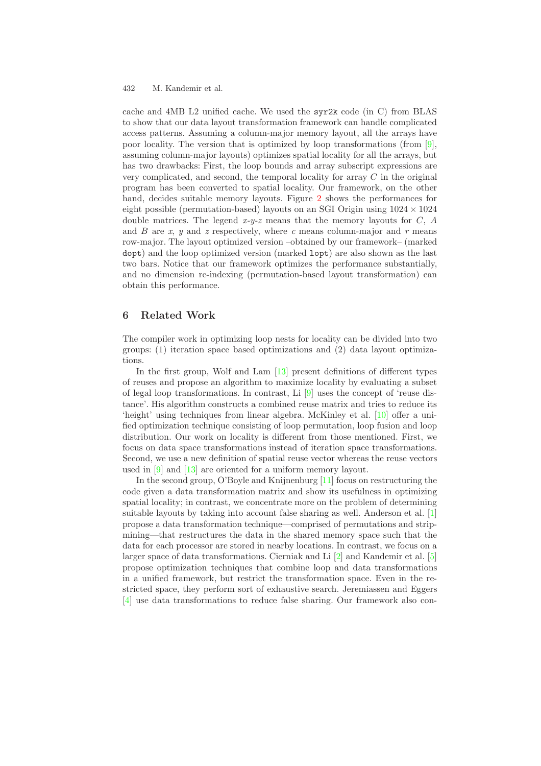<span id="page-10-2"></span><span id="page-10-1"></span>cache and 4MB L2 unified cache. We used the syr2k code (in C) from BLAS to show that our data layout transformation framework can handle complicated access patterns. Assuminga column-major memory layout, all the arrays have poor locality. The version that is optimized by loop transformations (from [\[9\]](#page-12-1), assuming column-major layouts) optimizes spatial locality for all the arrays, but has two drawbacks: First, the loop bounds and array subscript expressions are very complicated, and second, the temporal locality for array *C* in the original program has been converted to spatial locality. Our framework, on the other hand, decides suitable memory layouts. Figure [2](#page-9-1) shows the performances for eight possible (permutation-based) layouts on an SGI Origin using  $1024 \times 1024$ double matrices. The legend *x-y-z* means that the memory layouts for *C*, *A* and  $B$  are  $x$ ,  $y$  and  $z$  respectively, where  $c$  means column-major and  $r$  means row-major. The layout optimized version –obtained by our framework– (marked dopt) and the loop optimized version (marked lopt) are also shown as the last two bars. Notice that our framework optimizes the performance substantially, and no dimension re-indexing(permutation-based layout transformation) can obtain this performance.

## <span id="page-10-0"></span>**6 Related Work**

The compiler work in optimizing loop nests for locality can be divided into two groups: (1) iteration space based optimizations and (2) data layout optimizations.

In the first group, Wolf and Lam [\[13\]](#page-12-2) present definitions of different types of reuses and propose an algorithm to maximize locality by evaluating a subset of legal loop transformations. In contrast, Li [\[9\]](#page-12-1) uses the concept of 'reuse distance'. His algorithm constructs a combined reuse matrix and tries to reduce its 'height' using techniques from linear algebra. McKinley et al. [\[10\]](#page-12-0) offer a unified optimization technique consisting of loop permutation, loop fusion and loop distribution. Our work on locality is different from those mentioned. First, we focus on data space transformations instead of iteration space transformations. Second, we use a new definition of spatial reuse vector whereas the reuse vectors used in [\[9\]](#page-12-1) and [\[13\]](#page-12-2) are oriented for a uniform memory layout.

In the second group, O'Boyle and Knijnenburg  $[11]$  focus on restructuring the code given a data transformation matrix and show its usefulness in optimizing spatial locality; in contrast, we concentrate more on the problem of determining suitable layouts by taking into account false sharing as well. Anderson et al.  $[1]$ propose a data transformation technique—comprised of permutations and stripmining—that restructures the data in the shared memory space such that the data for each processor are stored in nearby locations. In contrast, we focus on a larger space of data transformations. Cierniak and Li [\[2\]](#page-11-7) and Kandemir et al. [\[5\]](#page-11-8) propose optimization techniques that combine loop and data transformations in a unified framework, but restrict the transformation space. Even in the restricted space, they perform sort of exhaustive search. Jeremiassen and Eggers [\[4\]](#page-11-9) use data transformations to reduce false sharing. Our framework also con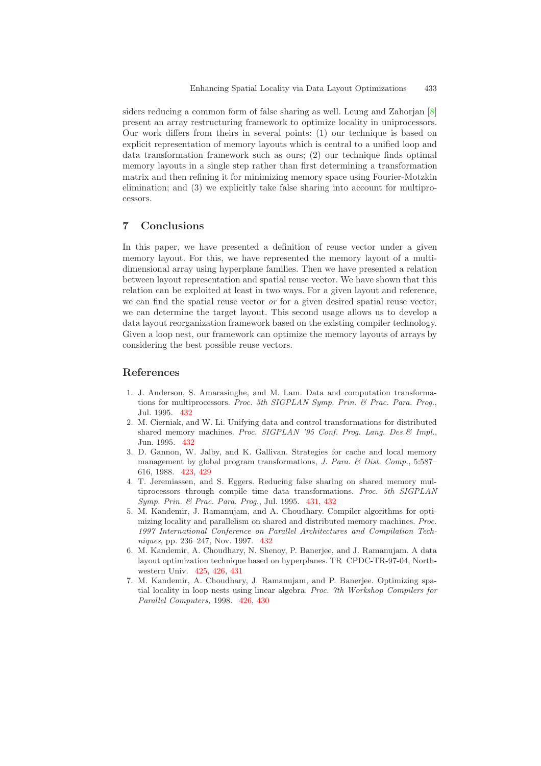<span id="page-11-10"></span>siders reducing a common form of false sharing as well. Leung and Zahorjan  $[8]$ present an array restructuringframework to optimize locality in uniprocessors. Our work differs from theirs in several points: (1) our technique is based on explicit representation of memory layouts which is central to a unified loop and data transformation framework such as ours; (2) our technique finds optimal memory layouts in a single step rather than first determining a transformation matrix and then refining it for minimizing memory space using Fourier-Motzkin elimination; and (3) we explicitly take false sharinginto account for multiprocessors.

# <span id="page-11-0"></span>**7 Conclusions**

In this paper, we have presented a definition of reuse vector under a given memory layout. For this, we have represented the memory layout of a multidimensional array using hyperplane families. Then we have presented a relation between layout representation and spatial reuse vector. We have shown that this relation can be exploited at least in two ways. For a given layout and reference, we can find the spatial reuse vector *or* for a given desired spatial reuse vector, we can determine the target layout. This second usage allows us to develop a data layout reorganization framework based on the existing compiler technology. Given a loop nest, our framework can optimize the memory layouts of arrays by considering the best possible reuse vectors.

# <span id="page-11-7"></span><span id="page-11-6"></span>**References**

- 1. J. Anderson, S. Amarasinghe, and M. Lam. Data and computation transformations for multiprocessors. *Proc. 5th SIGPLAN Symp. Prin. & Prac. Para. Prog.*, Jul. 1995. [432](#page-10-1)
- <span id="page-11-1"></span>2. M. Cierniak, and W. Li. Unifying data and control transformations for distributed shared memory machines. *Proc. SIGPLAN '95 Conf. Prog. Lang. Des.& Impl.*, Jun. 1995. [432](#page-10-1)
- <span id="page-11-9"></span><span id="page-11-5"></span>3. D. Gannon, W. Jalby, and K. Gallivan. Strategies for cache and local memory management by global program transformations, *J. Para. & Dist. Comp.*, 5:587– 616, 1988. [423,](#page-1-0) [429](#page-7-0)
- <span id="page-11-8"></span>4. T. Jeremiassen, and S. Eggers. Reducing false sharing on shared memory multiprocessors through compile time data transformations. *Proc. 5th SIGPLAN Symp. Prin. & Prac. Para. Prog.*, Jul. 1995. [431,](#page-9-2) [432](#page-10-1)
- <span id="page-11-3"></span><span id="page-11-2"></span>5. M. Kandemir, J. Ramanujam, and A. Choudhary. Compiler algorithms for optimizing locality and parallelism on shared and distributed memory machines. *Proc. 1997 International Conference on Parallel Architectures and Compilation Techniques*, pp. 236–247, Nov. 1997. [432](#page-10-1)
- <span id="page-11-4"></span>6. M. Kandemir, A. Choudhary, N. Shenoy, P. Banerjee, and J. Ramanujam. A data layout optimization technique based on hyperplanes. TR CPDC-TR-97-04, Northwestern Univ. [425,](#page-3-2) [426,](#page-4-4) [431](#page-9-2)
- 7. M. Kandemir, A. Choudhary, J. Ramanujam, and P. Banerjee. Optimizing spatial locality in loop nests using linear algebra. *Proc. 7th Workshop Compilers for Parallel Computers,* 1998. [426,](#page-4-4) [430](#page-8-1)